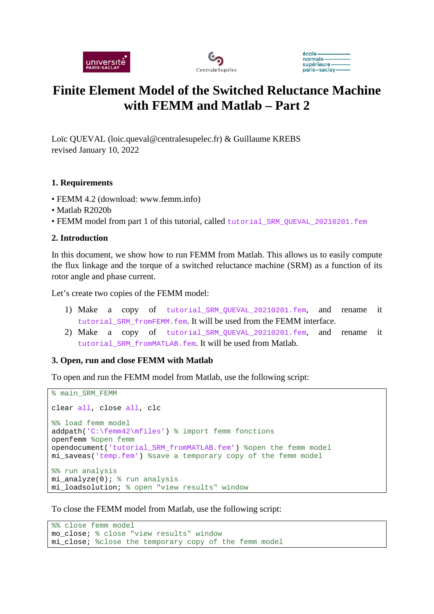





# **Finite Element Model of the Switched Reluctance Machine with FEMM and Matlab – Part 2**

Loïc QUEVAL (loic.queval@centralesupelec.fr) & Guillaume KREBS revised January 10, 2022

#### **1. Requirements**

- FEMM 4.2 (download: www.femm.info)
- Matlab R2020b
- FEMM model from part 1 of this tutorial, called tutorial\_SRM\_QUEVAL\_20210201.fem

#### **2. Introduction**

In this document, we show how to run FEMM from Matlab. This allows us to easily compute the flux linkage and the torque of a switched reluctance machine (SRM) as a function of its rotor angle and phase current.

Let's create two copies of the FEMM model:

- 1) Make a copy of tutorial SRM OUEVAL 20210201.fem, and rename it tutorial SRM fromFEMM.fem. It will be used from the FEMM interface.
- 2) Make a copy of tutorial\_SRM\_QUEVAL\_20210201.fem, and rename it tutorial SRM fromMATLAB.fem. It will be used from Matlab.

#### **3. Open, run and close FEMM with Matlab**

To open and run the FEMM model from Matlab, use the following script:

```
% main_SRM_FEMM
clear all, close all, clc
%% load femm model
addpath('C:\femm42\mfiles') % import femm fonctions
openfemm %open femm
opendocument('tutorial_SRM_fromMATLAB.fem') %open the femm model
mi_saveas('temp.fem') %save a temporary copy of the femm model
%% run analysis
mi_analyze(0); % run analysis
mi_loadsolution; % open "view results" window
```
To close the FEMM model from Matlab, use the following script:

```
%% close femm model
mo_close; % close "view results" window
mi_close; %close the temporary copy of the femm model
```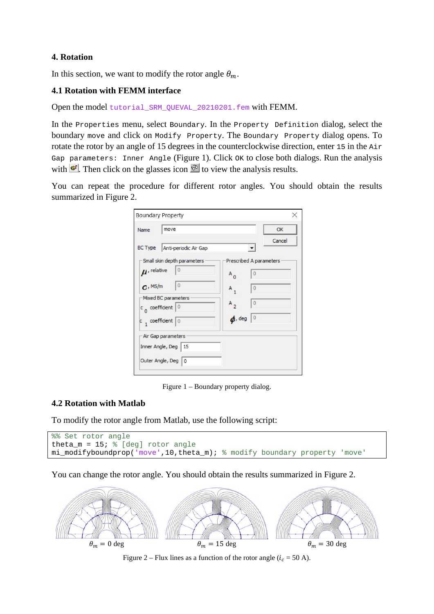## **4. Rotation**

In this section, we want to modify the rotor angle  $\theta_m$ .

## **4.1 Rotation with FEMM interface**

Open the model tutorial SRM\_QUEVAL\_20210201.fem with FEMM.

In the Properties menu, select Boundary. In the Property Definition dialog, select the boundary move and click on Modify Property. The Boundary Property dialog opens. To rotate the rotor by an angle of 15 degrees in the counterclockwise direction, enter 15 in the Air Gap parameters: Inner Angle (Figure 1). Click OK to close both dialogs. Run the analysis with  $\mathbf{F}$ . Then click on the glasses icon  $\mathcal{P}$  to view the analysis results.

You can repeat the procedure for different rotor angles. You should obtain the results summarized in Figure 2.

| Name                        | move                                                                                                                                        |                                           | OK                                                                                        |
|-----------------------------|---------------------------------------------------------------------------------------------------------------------------------------------|-------------------------------------------|-------------------------------------------------------------------------------------------|
| <b>BC Type</b>              | Anti-periodic Air Gap                                                                                                                       |                                           | Cancel                                                                                    |
| $\mu$ , relative<br>C, MS/m | Small skin depth parameters<br>0<br>$\overline{0}$<br>Mixed BC parameters<br>$c_{0}$ coefficient 0<br>$\frac{1}{1}$ coefficient $\boxed{0}$ | $A_0$<br>$A_1$<br>$A_{2}$<br>$\phi$ , deg | Prescribed A parameters<br>$\overline{0}$<br>$\overline{0}$<br>$\theta$<br>$\overline{0}$ |
|                             | Air Gap parameters<br>Inner Angle, Deg   15<br>Outer Angle, Deg   0                                                                         |                                           |                                                                                           |

Figure 1 – Boundary property dialog.

#### **4.2 Rotation with Matlab**

To modify the rotor angle from Matlab, use the following script:

```
%% Set rotor angle
theta m = 15; % [deg] rotor angle
mi_modifyboundprop('move',10,theta_m); % modify boundary property 'move'
```
You can change the rotor angle. You should obtain the results summarized in Figure 2.



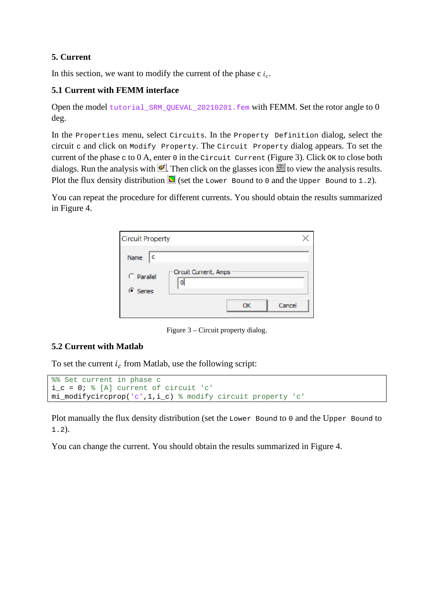# **5. Current**

In this section, we want to modify the current of the phase c  $i_c$ .

#### **5.1 Current with FEMM interface**

Open the model tutorial\_SRM\_QUEVAL\_20210201.fem with FEMM. Set the rotor angle to 0 deg.

In the Properties menu, select Circuits. In the Property Definition dialog, select the circuit c and click on Modify Property. The Circuit Property dialog appears. To set the current of the phase c to 0 A, enter 0 in the Circuit Current (Figure 3). Click OK to close both dialogs. Run the analysis with  $\mathbf{F}$ . Then click on the glasses icon  $\mathbf{F}$  to view the analysis results. Plot the flux density distribution  $\boxed{\blacksquare}$  (set the Lower Bound to 0 and the Upper Bound to 1.2).

You can repeat the procedure for different currents. You should obtain the results summarized in Figure 4.

| <b>Circuit Property</b> |                            |        |
|-------------------------|----------------------------|--------|
| Name                    |                            |        |
| C Parallel<br>G Series  | Circuit Current, Amps<br>0 |        |
|                         |                            | Cancel |

Figure 3 – Circuit property dialog.

#### **5.2 Current with Matlab**

To set the current  $i<sub>c</sub>$  from Matlab, use the following script:

```
%% Set current in phase c
i_c = 0; % [A] current of circuit 'c'
mi_modifycircprop('c',1,i_c) % modify circuit property 'c'
```
Plot manually the flux density distribution (set the Lower Bound to 0 and the Upper Bound to 1.2).

You can change the current. You should obtain the results summarized in Figure 4.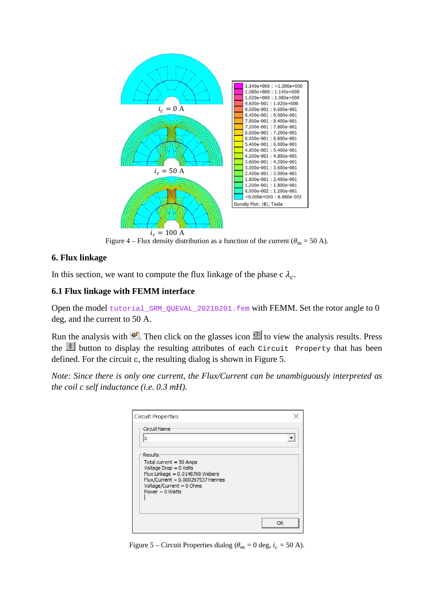

Figure 4 – Flux density distribution as a function of the current ( $\theta_m = 50$  A).

#### **6. Flux linkage**

In this section, we want to compute the flux linkage of the phase c  $\lambda_c$ .

#### **6.1 Flux linkage with FEMM interface**

Open the model tutorial\_SRM\_QUEVAL\_20210201.fem with FEMM. Set the rotor angle to 0 deg, and the current to 50 A.

Run the analysis with  $\mathbb{F}$ . Then click on the glasses icon  $\mathbb{F}$  to view the analysis results. Press the  $\frac{1}{2}$  button to display the resulting attributes of each Circuit Property that has been defined. For the circuit c, the resulting dialog is shown in Figure 5.

*Note: Since there is only one current, the Flux/Current can be unambiguously interpreted as the coil c self inductance (i.e. 0.3 mH).*

| <b>Circuit Name</b>                                                     |    |
|-------------------------------------------------------------------------|----|
| c                                                                       |    |
| <b>Results</b>                                                          |    |
| Total current = $50$ Amps<br>Voltage Drop = 0 Volts                     |    |
| Flux Linkage = $0.0148769$ Webers<br>Flux/Current = 0.000297537 Henries |    |
| Voltage/Current = 0 Ohms<br>Power $= 0$ Watts                           |    |
|                                                                         |    |
|                                                                         |    |
|                                                                         | OK |

Figure 5 – Circuit Properties dialog ( $\theta_m = 0$  deg,  $i_c = 50$  A).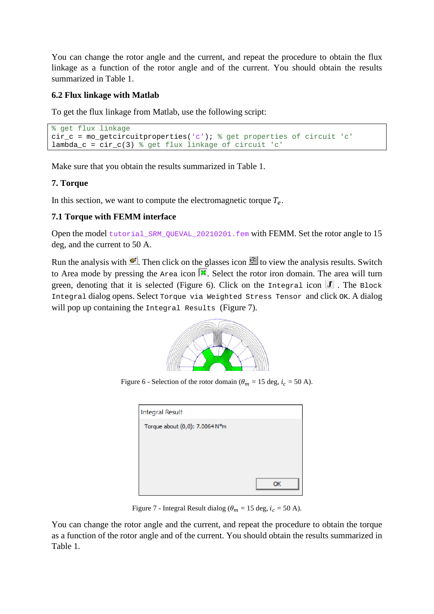You can change the rotor angle and the current, and repeat the procedure to obtain the flux linkage as a function of the rotor angle and of the current. You should obtain the results summarized in Table 1.

## **6.2 Flux linkage with Matlab**

To get the flux linkage from Matlab, use the following script:

```
% get flux linkage
cir_c = mo_getcircuitproperties('c'); % get properties of circuit 'c'
lambda_c = cir_c(3) % get flux linkage of circuit 'c'
```
Make sure that you obtain the results summarized in Table 1.

# **7. Torque**

In this section, we want to compute the electromagnetic torque  $T_e$ .

# **7.1 Torque with FEMM interface**

Open the model tutorial SRM\_QUEVAL\_20210201.fem with FEMM. Set the rotor angle to 15 deg, and the current to 50 A.

Run the analysis with  $\mathbf{F}$ . Then click on the glasses icon  $\mathcal{P}$  to view the analysis results. Switch to Area mode by pressing the  $Area$  icon  $\vert \cdot \vert$ . Select the rotor iron domain. The area will turn green, denoting that it is selected (Figure 6). Click on the Integral icon  $\mathbf{J}$ . The Block Integral dialog opens. Select Torque via Weighted Stress Tensor and click OK. A dialog will pop up containing the Integral Results (Figure 7).



Figure 6 - Selection of the rotor domain ( $\theta_m = 15$  deg,  $i_c = 50$  A).

| <b>Integral Result</b>         |    |  |  |  |  |
|--------------------------------|----|--|--|--|--|
| Torque about (0,0): 7.0064 N*m |    |  |  |  |  |
|                                |    |  |  |  |  |
|                                |    |  |  |  |  |
|                                |    |  |  |  |  |
|                                |    |  |  |  |  |
|                                | OK |  |  |  |  |
|                                |    |  |  |  |  |

Figure 7 - Integral Result dialog ( $\theta_m = 15$  deg,  $i_c = 50$  A).

You can change the rotor angle and the current, and repeat the procedure to obtain the torque as a function of the rotor angle and of the current. You should obtain the results summarized in Table 1.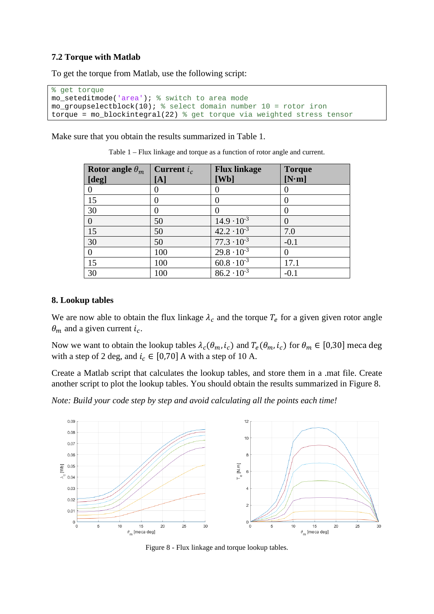## **7.2 Torque with Matlab**

To get the torque from Matlab, use the following script:

```
% get torque
mo_seteditmode('area'); % switch to area mode
mo_groupselectblock(10); % select domain number 10 = rotor iron
torque = mo_blockintegral(22) % get torque via weighted stress tensor
```
Make sure that you obtain the results summarized in Table 1.

| Rotor angle $\theta_m$ | Current $i_c$ | <b>Flux linkage</b>  | <b>Torque</b> |
|------------------------|---------------|----------------------|---------------|
| [deg]                  | [A]           | [Wb]                 | [N·m]         |
| 0                      |               |                      |               |
| 15                     |               |                      | $\Omega$      |
| 30                     |               |                      |               |
| $\overline{0}$         | 50            | $14.9 \cdot 10^{-3}$ |               |
| 15                     | 50            | $42.2 \cdot 10^{-3}$ | 7.0           |
| 30                     | 50            | $77.3 \cdot 10^{-3}$ | $-0.1$        |
| 0                      | 100           | $29.8 \cdot 10^{-3}$ |               |
| 15                     | 100           | $60.8 \cdot 10^{-3}$ | 17.1          |
| 30                     | 100           | $86.2 \cdot 10^{-3}$ | $-0.1$        |

Table 1 – Flux linkage and torque as a function of rotor angle and current.

#### **8. Lookup tables**

We are now able to obtain the flux linkage  $\lambda_c$  and the torque  $T_e$  for a given given rotor angle  $\theta_m$  and a given current  $i_c$ .

Now we want to obtain the lookup tables  $\lambda_c(\theta_m, i_c)$  and  $T_e(\theta_m, i_c)$  for  $\theta_m \in [0, 30]$  meca deg with a step of 2 deg, and  $i_c \in [0,70]$  A with a step of 10 A.

Create a Matlab script that calculates the lookup tables, and store them in a .mat file. Create another script to plot the lookup tables. You should obtain the results summarized in Figure 8.

*Note: Build your code step by step and avoid calculating all the points each time!*



Figure 8 - Flux linkage and torque lookup tables.